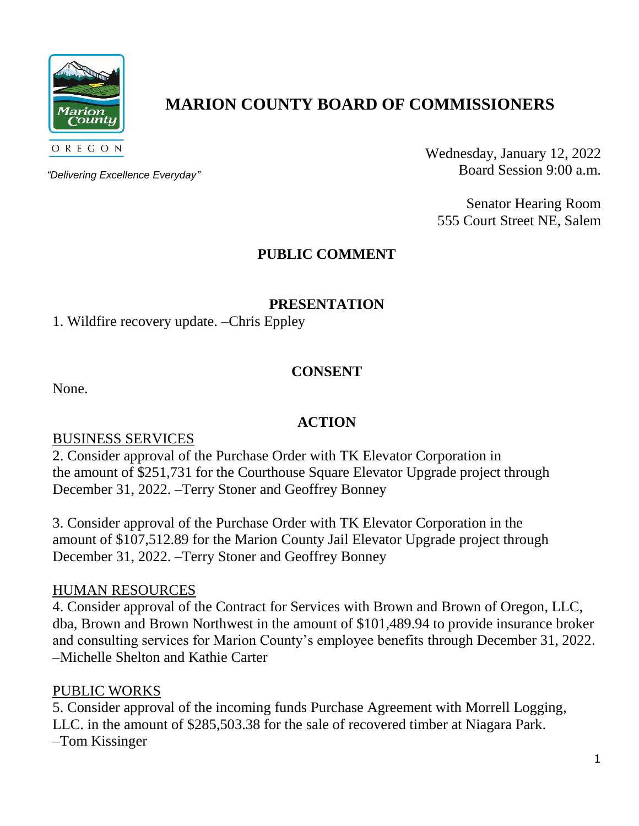

# **MARION COUNTY BOARD OF COMMISSIONERS**

*"Delivering Excellence Everyday"*

Wednesday, January 12, 2022 Board Session 9:00 a.m.

Senator Hearing Room 555 Court Street NE, Salem

## **PUBLIC COMMENT**

## **PRESENTATION**

1. Wildfire recovery update. –Chris Eppley

## **CONSENT**

None.

### **ACTION**

### BUSINESS SERVICES

2. Consider approval of the Purchase Order with TK Elevator Corporation in the amount of \$251,731 for the Courthouse Square Elevator Upgrade project through December 31, 2022. –Terry Stoner and Geoffrey Bonney

3. Consider approval of the Purchase Order with TK Elevator Corporation in the amount of \$107,512.89 for the Marion County Jail Elevator Upgrade project through December 31, 2022. –Terry Stoner and Geoffrey Bonney

### HUMAN RESOURCES

4. Consider approval of the Contract for Services with Brown and Brown of Oregon, LLC, dba, Brown and Brown Northwest in the amount of \$101,489.94 to provide insurance broker and consulting services for Marion County's employee benefits through December 31, 2022. –Michelle Shelton and Kathie Carter

## PUBLIC WORKS

5. Consider approval of the incoming funds Purchase Agreement with Morrell Logging, LLC. in the amount of \$285,503.38 for the sale of recovered timber at Niagara Park. –Tom Kissinger